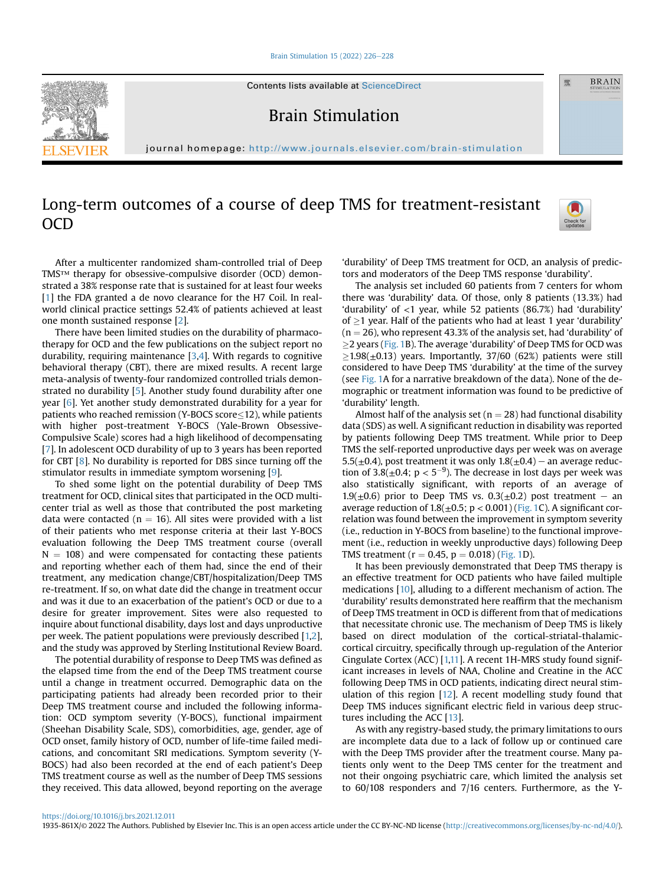[Brain Stimulation 15 \(2022\) 226](https://doi.org/10.1016/j.brs.2021.12.011)-[228](https://doi.org/10.1016/j.brs.2021.12.011)



Contents lists available at ScienceDirect

Brain Stimulation

journal homepage: <http://www.journals.elsevier.com/brain-stimulation>

## Long-term outcomes of a course of deep TMS for treatment-resistant OCD



靈

**BRAIN** 

After a multicenter randomized sham-controlled trial of Deep TMS™ therapy for obsessive-compulsive disorder (OCD) demonstrated a 38% response rate that is sustained for at least four weeks [[1](#page-1-0)] the FDA granted a de novo clearance for the H7 Coil. In realworld clinical practice settings 52.4% of patients achieved at least one month sustained response [\[2](#page-1-1)].

There have been limited studies on the durability of pharmacotherapy for OCD and the few publications on the subject report no durability, requiring maintenance [\[3](#page-1-2)[,4\]](#page-1-3). With regards to cognitive behavioral therapy (CBT), there are mixed results. A recent large meta-analysis of twenty-four randomized controlled trials demonstrated no durability [\[5](#page-1-4)]. Another study found durability after one year [[6](#page-1-5)]. Yet another study demonstrated durability for a year for patients who reached remission (Y-BOCS score $\leq$ 12), while patients with higher post-treatment Y-BOCS (Yale-Brown Obsessive-Compulsive Scale) scores had a high likelihood of decompensating [[7](#page-1-6)]. In adolescent OCD durability of up to 3 years has been reported for CBT [[8\]](#page-1-7). No durability is reported for DBS since turning off the stimulator results in immediate symptom worsening [\[9\]](#page-1-8).

To shed some light on the potential durability of Deep TMS treatment for OCD, clinical sites that participated in the OCD multicenter trial as well as those that contributed the post marketing data were contacted ( $n = 16$ ). All sites were provided with a list of their patients who met response criteria at their last Y-BOCS evaluation following the Deep TMS treatment course (overall  $N = 108$ ) and were compensated for contacting these patients and reporting whether each of them had, since the end of their treatment, any medication change/CBT/hospitalization/Deep TMS re-treatment. If so, on what date did the change in treatment occur and was it due to an exacerbation of the patient's OCD or due to a desire for greater improvement. Sites were also requested to inquire about functional disability, days lost and days unproductive per week. The patient populations were previously described [\[1,](#page-1-0)[2\]](#page-1-1), and the study was approved by Sterling Institutional Review Board.

The potential durability of response to Deep TMS was defined as the elapsed time from the end of the Deep TMS treatment course until a change in treatment occurred. Demographic data on the participating patients had already been recorded prior to their Deep TMS treatment course and included the following information: OCD symptom severity (Y-BOCS), functional impairment (Sheehan Disability Scale, SDS), comorbidities, age, gender, age of OCD onset, family history of OCD, number of life-time failed medications, and concomitant SRI medications. Symptom severity (Y-BOCS) had also been recorded at the end of each patient's Deep TMS treatment course as well as the number of Deep TMS sessions they received. This data allowed, beyond reporting on the average

'durability' of Deep TMS treatment for OCD, an analysis of predictors and moderators of the Deep TMS response 'durability'.

The analysis set included 60 patients from 7 centers for whom there was 'durability' data. Of those, only 8 patients (13.3%) had 'durability' of <1 year, while 52 patients (86.7%) had 'durability' of  $\geq$ 1 year. Half of the patients who had at least 1 year 'durability'  $(n = 26)$ , who represent 43.3% of the analysis set, had 'durability' of  $\geq$ 2 years [\(Fig. 1](#page-1-9)B). The average 'durability' of Deep TMS for OCD was  $\geq$ 1.98( $\pm$ 0.13) years. Importantly, 37/60 (62%) patients were still considered to have Deep TMS 'durability' at the time of the survey (see [Fig. 1](#page-1-9)A for a narrative breakdown of the data). None of the demographic or treatment information was found to be predictive of 'durability' length.

Almost half of the analysis set ( $n = 28$ ) had functional disability data (SDS) as well. A significant reduction in disability was reported by patients following Deep TMS treatment. While prior to Deep TMS the self-reported unproductive days per week was on average  $5.5(\pm 0.4)$ , post treatment it was only  $1.8(\pm 0.4)$  – an average reduction of 3.8( $\pm$ 0.4; p < 5<sup>-9</sup>). The decrease in lost days per week was also statistically significant, with reports of an average of 1.9( $\pm$ 0.6) prior to Deep TMS vs. 0.3( $\pm$ 0.2) post treatment - an average reduction of  $1.8(\pm 0.5; p < 0.001)$  ([Fig. 1C](#page-1-9)). A significant correlation was found between the improvement in symptom severity (i.e., reduction in Y-BOCS from baseline) to the functional improvement (i.e., reduction in weekly unproductive days) following Deep TMS treatment ( $r = 0.45$ ,  $p = 0.018$ ) ([Fig. 1](#page-1-9)D).

It has been previously demonstrated that Deep TMS therapy is an effective treatment for OCD patients who have failed multiple medications [\[10](#page-2-0)], alluding to a different mechanism of action. The 'durability' results demonstrated here reaffirm that the mechanism of Deep TMS treatment in OCD is different from that of medications that necessitate chronic use. The mechanism of Deep TMS is likely based on direct modulation of the cortical-striatal-thalamiccortical circuitry, specifically through up-regulation of the Anterior Cingulate Cortex (ACC) [[1,](#page-1-0)[11\]](#page-2-1). A recent 1H-MRS study found significant increases in levels of NAA, Choline and Creatine in the ACC following Deep TMS in OCD patients, indicating direct neural stimulation of this region [\[12](#page-2-2)]. A recent modelling study found that Deep TMS induces significant electric field in various deep structures including the ACC [\[13](#page-2-3)].

As with any registry-based study, the primary limitations to ours are incomplete data due to a lack of follow up or continued care with the Deep TMS provider after the treatment course. Many patients only went to the Deep TMS center for the treatment and not their ongoing psychiatric care, which limited the analysis set to 60/108 responders and 7/16 centers. Furthermore, as the Y-

1935-861X/© 2022 The Authors. Published by Elsevier Inc. This is an open access article under the CC BY-NC-ND license ([http://creativecommons.org/licenses/by-nc-nd/4.0/\)](http://creativecommons.org/licenses/by-nc-nd/4.0/).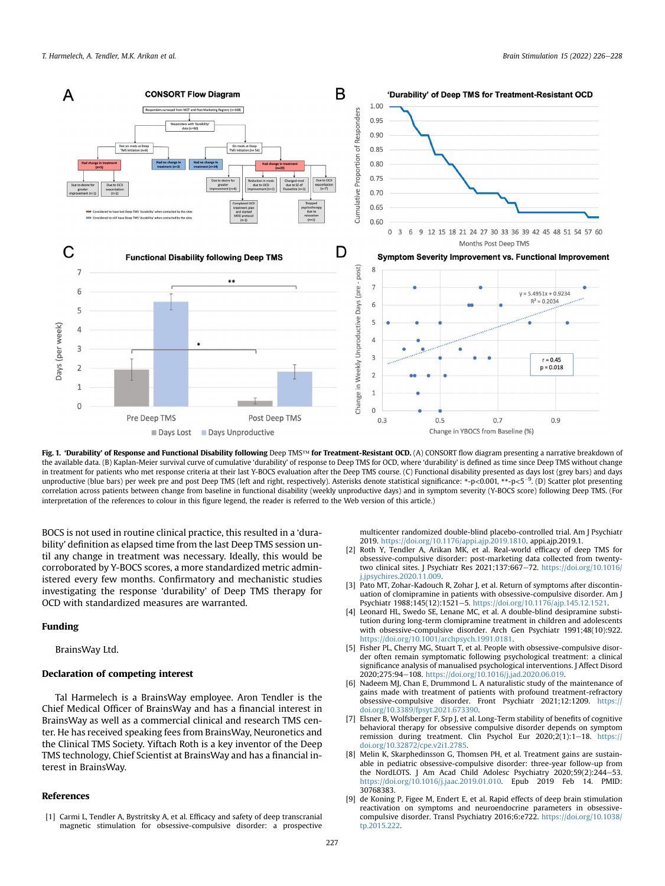<span id="page-1-9"></span>

Fig. 1. 'Durability' of Response and Functional Disability following Deep TMS™ for Treatment-Resistant OCD. (A) CONSORT flow diagram presenting a narrative breakdown of the available data. (B) Kaplan-Meier survival curve of cumulative 'durability' of response to Deep TMS for OCD, where 'durability' is defined as time since Deep TMS without change in treatment for patients who met response criteria at their last Y-BOCS evaluation after the Deep TMS course. (C) Functional disability presented as days lost (grey bars) and days unproductive (blue bars) per week pre and post Deep TMS (left and right, respectively). Asterisks denote statistical significance: \*-p<0.001, \*\*-p<5<sup>-9</sup>. (D) Scatter plot presenting correlation across patients between change from baseline in functional disability (weekly unproductive days) and in symptom severity (Y-BOCS score) following Deep TMS. (For interpretation of the references to colour in this figure legend, the reader is referred to the Web version of this article.)

BOCS is not used in routine clinical practice, this resulted in a 'durability' definition as elapsed time from the last Deep TMS session until any change in treatment was necessary. Ideally, this would be corroborated by Y-BOCS scores, a more standardized metric administered every few months. Confirmatory and mechanistic studies investigating the response 'durability' of Deep TMS therapy for OCD with standardized measures are warranted.

## Funding

BrainsWay Ltd.

## Declaration of competing interest

Tal Harmelech is a BrainsWay employee. Aron Tendler is the Chief Medical Officer of BrainsWay and has a financial interest in BrainsWay as well as a commercial clinical and research TMS center. He has received speaking fees from BrainsWay, Neuronetics and the Clinical TMS Society. Yiftach Roth is a key inventor of the Deep TMS technology, Chief Scientist at BrainsWay and has a financial interest in BrainsWay.

## References

<span id="page-1-0"></span>[1] Carmi L, Tendler A, Bystritsky A, et al. Efficacy and safety of deep transcranial magnetic stimulation for obsessive-compulsive disorder: a prospective multicenter randomized double-blind placebo-controlled trial. Am J Psychiatr 2019. <https://doi.org/10.1176/appi.ajp.2019.1810>. appi.ajp.2019.1.

- <span id="page-1-1"></span>[2] Roth Y, Tendler A, Arikan MK, et al. Real-world efficacy of deep TMS for obsessive-compulsive disorder: post-marketing data collected from twentytwo clinical sites. J Psychiatr Res 2021:137:667-72. [https://doi.org/10.1016/](https://doi.org/10.1016/j.jpsychires.2020.11.009) [j.jpsychires.2020.11.009](https://doi.org/10.1016/j.jpsychires.2020.11.009).
- <span id="page-1-2"></span>[3] Pato MT, Zohar-Kadouch R, Zohar I, et al. Return of symptoms after discontinuation of clomipramine in patients with obsessive-compulsive disorder. Am J Psychiatr 1988;145(12):1521-5. <https://doi.org/10.1176/ajp.145.12.1521>.
- <span id="page-1-3"></span>[4] Leonard HL, Swedo SE, Lenane MC, et al. A double-blind desipramine substitution during long-term clomipramine treatment in children and adolescents with obsessive-compulsive disorder. Arch Gen Psychiatr 1991;48(10):922. <https://doi.org/10.1001/archpsych.1991.0181>.
- <span id="page-1-4"></span>[5] Fisher PL, Cherry MG, Stuart T, et al. People with obsessive-compulsive disorder often remain symptomatic following psychological treatment: a clinical significance analysis of manualised psychological interventions. J Affect Disord 2020;275:94-108. <https://doi.org/10.1016/j.jad.2020.06.019>.
- <span id="page-1-5"></span>[6] Nadeem MJ, Chan E, Drummond L. A naturalistic study of the maintenance of gains made with treatment of patients with profound treatment-refractory obsessive-compulsive disorder. Front Psychiatr 2021;12:1209. [https://](https://doi.org/10.3389/fpsyt.2021.673390) [doi.org/10.3389/fpsyt.2021.673390](https://doi.org/10.3389/fpsyt.2021.673390).
- <span id="page-1-6"></span>[7] Elsner B, Wolfsberger F, Srp J, et al. Long-Term stability of benefits of cognitive behavioral therapy for obsessive compulsive disorder depends on symptom remission during treatment. Clin Psychol Eur  $2020;2(1):1-18$ . [https://](https://doi.org/10.32872/cpe.v2i1.2785) [doi.org/10.32872/cpe.v2i1.2785](https://doi.org/10.32872/cpe.v2i1.2785).
- <span id="page-1-7"></span>[8] Melin K, Skarphedinsson G, Thomsen PH, et al. Treatment gains are sustainable in pediatric obsessive-compulsive disorder: three-year follow-up from the NordLOTS. J Am Acad Child Adolesc Psychiatry 2020;59(2):244-53. <https://doi.org/10.1016/j.jaac.2019.01.010>. Epub 2019 Feb 14. PMID: 30768383.
- <span id="page-1-8"></span>[9] de Koning P, Figee M, Endert E, et al. Rapid effects of deep brain stimulation reactivation on symptoms and neuroendocrine parameters in obsessivecompulsive disorder. Transl Psychiatry 2016;6:e722. [https://doi.org/10.1038/](https://doi.org/10.1038/tp.2015.222) [tp.2015.222](https://doi.org/10.1038/tp.2015.222).